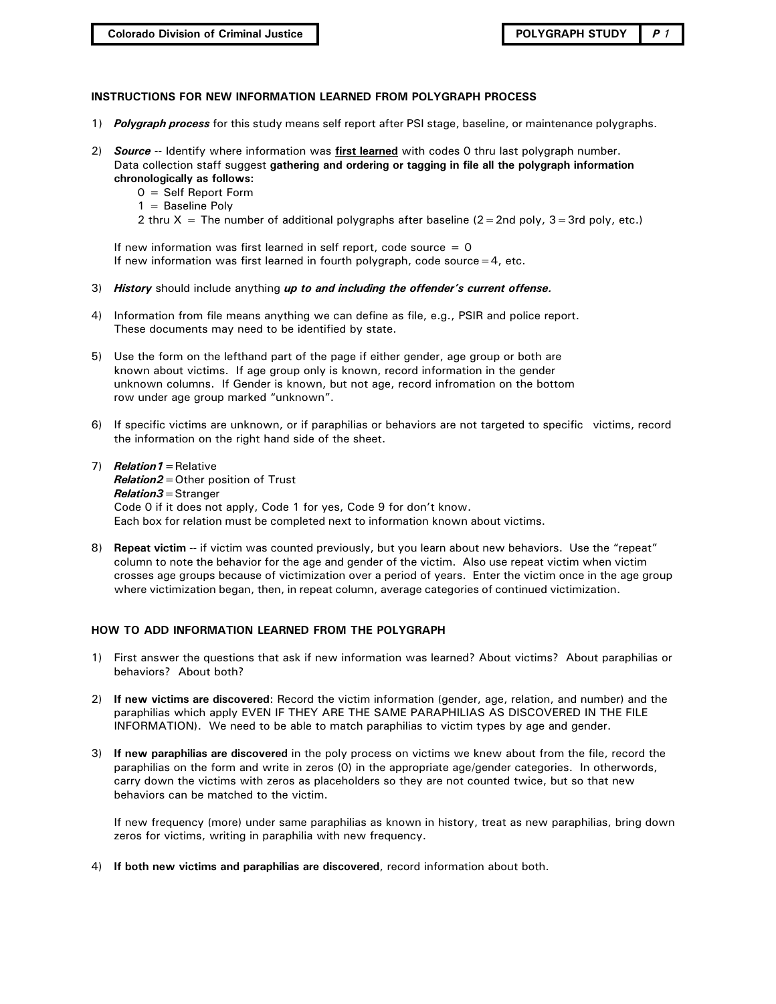## INSTRUCTIONS FOR NEW INFORMATION LEARNED FROM POLYGRAPH PROCESS

- 1) Polygraph process for this study means self report after PSI stage, baseline, or maintenance polygraphs.
- 2) Source -- Identify where information was first learned with codes 0 thru last polygraph number. Data collection staff suggest gathering and ordering or tagging in file all the polygraph information chronologically as follows:
	- 0 = Self Report Form
	- $1 =$  Baseline Poly
	- 2 thru  $X =$  The number of additional polygraphs after baseline (2 = 2nd poly, 3 = 3rd poly, etc.)

If new information was first learned in self report, code source  $= 0$ If new information was first learned in fourth polygraph, code source  $=4$ , etc.

- 3) History should include anything up to and including the offender's current offense.
- 4) Information from file means anything we can define as file, e.g., PSIR and police report. These documents may need to be identified by state.
- 5) Use the form on the lefthand part of the page if either gender, age group or both are known about victims. If age group only is known, record information in the gender unknown columns. If Gender is known, but not age, record infromation on the bottom row under age group marked "unknown".
- 6) If specific victims are unknown, or if paraphilias or behaviors are not targeted to specific victims, record the information on the right hand side of the sheet.
- 7)  $Relation1 = Relative$  $Relation2 = Other position of Trust$ **Relation3** = Stranger Code 0 if it does not apply, Code 1 for yes, Code 9 for don't know. Each box for relation must be completed next to information known about victims.
- 8) Repeat victim -- if victim was counted previously, but you learn about new behaviors. Use the "repeat" column to note the behavior for the age and gender of the victim. Also use repeat victim when victim crosses age groups because of victimization over a period of years. Enter the victim once in the age group where victimization began, then, in repeat column, average categories of continued victimization.

## HOW TO ADD INFORMATION LEARNED FROM THE POLYGRAPH

- 1) First answer the questions that ask if new information was learned? About victims? About paraphilias or behaviors? About both?
- 2) If new victims are discovered: Record the victim information (gender, age, relation, and number) and the paraphilias which apply EVEN IF THEY ARE THE SAME PARAPHILIAS AS DISCOVERED IN THE FILE INFORMATION). We need to be able to match paraphilias to victim types by age and gender.
- 3) If new paraphilias are discovered in the poly process on victims we knew about from the file, record the paraphilias on the form and write in zeros (0) in the appropriate age/gender categories. In otherwords, carry down the victims with zeros as placeholders so they are not counted twice, but so that new behaviors can be matched to the victim.

If new frequency (more) under same paraphilias as known in history, treat as new paraphilias, bring down zeros for victims, writing in paraphilia with new frequency.

4) If both new victims and paraphilias are discovered, record information about both.